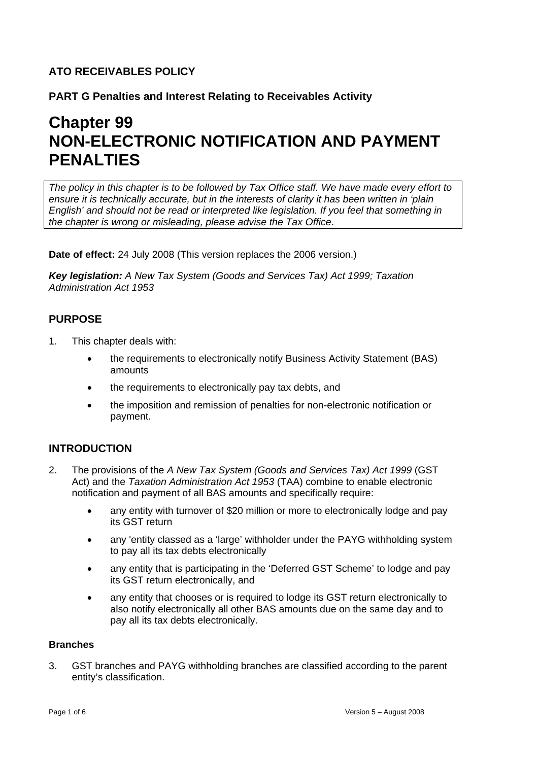# **ATO RECEIVABLES POLICY**

**PART G Penalties and Interest Relating to Receivables Activity**

# **Chapter 99 NON-ELECTRONIC NOTIFICATION AND PAYMENT PENALTIES**

*The policy in this chapter is to be followed by Tax Office staff. We have made every effort to ensure it is technically accurate, but in the interests of clarity it has been written in 'plain English' and should not be read or interpreted like legislation. If you feel that something in the chapter is wrong or misleading, please advise the Tax Office*.

**Date of effect:** 24 July 2008 (This version replaces the 2006 version.)

*Key legislation: A New Tax System (Goods and Services Tax) Act 1999; Taxation Administration Act 1953*

## **PURPOSE**

- 1. This chapter deals with:
	- the requirements to electronically notify Business Activity Statement (BAS) amounts
	- the requirements to electronically pay tax debts, and
	- the imposition and remission of penalties for non-electronic notification or payment.

## **INTRODUCTION**

- 2. The provisions of the *A New Tax System (Goods and Services Tax) Act 1999* (GST Act) and the *Taxation Administration Act 1953* (TAA) combine to enable electronic notification and payment of all BAS amounts and specifically require:
	- any entity with turnover of \$20 million or more to electronically lodge and pay its GST return
	- any 'entity classed as a 'large' withholder under the PAYG withholding system to pay all its tax debts electronically
	- any entity that is participating in the 'Deferred GST Scheme' to lodge and pay its GST return electronically, and
	- any entity that chooses or is required to lodge its GST return electronically to also notify electronically all other BAS amounts due on the same day and to pay all its tax debts electronically.

#### **Branches**

3. GST branches and PAYG withholding branches are classified according to the parent entity's classification.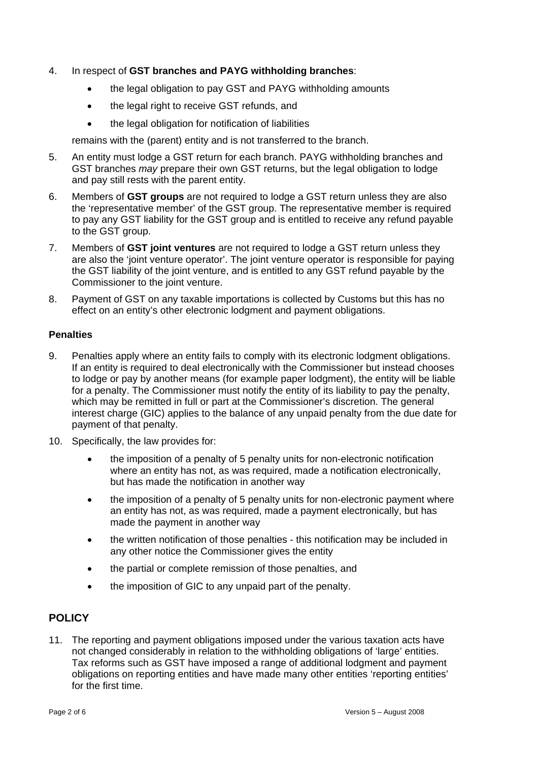- 4. In respect of **GST branches and PAYG withholding branches**:
	- the legal obligation to pay GST and PAYG withholding amounts
	- the legal right to receive GST refunds, and
	- the legal obligation for notification of liabilities

remains with the (parent) entity and is not transferred to the branch.

- 5. An entity must lodge a GST return for each branch. PAYG withholding branches and GST branches *may* prepare their own GST returns, but the legal obligation to lodge and pay still rests with the parent entity.
- 6. Members of **GST groups** are not required to lodge a GST return unless they are also the 'representative member' of the GST group. The representative member is required to pay any GST liability for the GST group and is entitled to receive any refund payable to the GST group.
- 7. Members of **GST joint ventures** are not required to lodge a GST return unless they are also the 'joint venture operator'. The joint venture operator is responsible for paying the GST liability of the joint venture, and is entitled to any GST refund payable by the Commissioner to the joint venture.
- 8. Payment of GST on any taxable importations is collected by Customs but this has no effect on an entity's other electronic lodgment and payment obligations.

#### **Penalties**

- 9. Penalties apply where an entity fails to comply with its electronic lodgment obligations. If an entity is required to deal electronically with the Commissioner but instead chooses to lodge or pay by another means (for example paper lodgment), the entity will be liable for a penalty. The Commissioner must notify the entity of its liability to pay the penalty, which may be remitted in full or part at the Commissioner's discretion. The general interest charge (GIC) applies to the balance of any unpaid penalty from the due date for payment of that penalty.
- 10. Specifically, the law provides for:
	- the imposition of a penalty of 5 penalty units for non-electronic notification where an entity has not, as was required, made a notification electronically, but has made the notification in another way
	- the imposition of a penalty of 5 penalty units for non-electronic payment where an entity has not, as was required, made a payment electronically, but has made the payment in another way
	- the written notification of those penalties this notification may be included in any other notice the Commissioner gives the entity
	- the partial or complete remission of those penalties, and
	- the imposition of GIC to any unpaid part of the penalty.

# **POLICY**

11. The reporting and payment obligations imposed under the various taxation acts have not changed considerably in relation to the withholding obligations of 'large' entities. Tax reforms such as GST have imposed a range of additional lodgment and payment obligations on reporting entities and have made many other entities 'reporting entities' for the first time.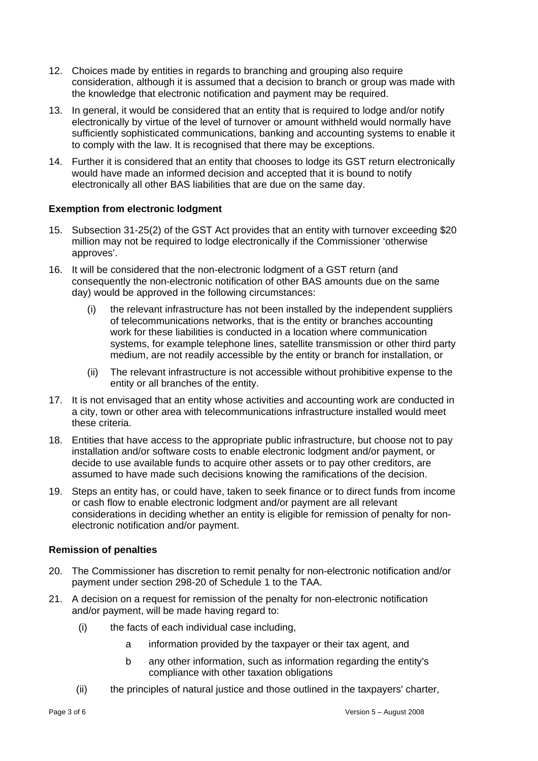- 12. Choices made by entities in regards to branching and grouping also require consideration, although it is assumed that a decision to branch or group was made with the knowledge that electronic notification and payment may be required.
- 13. In general, it would be considered that an entity that is required to lodge and/or notify electronically by virtue of the level of turnover or amount withheld would normally have sufficiently sophisticated communications, banking and accounting systems to enable it to comply with the law. It is recognised that there may be exceptions.
- 14. Further it is considered that an entity that chooses to lodge its GST return electronically would have made an informed decision and accepted that it is bound to notify electronically all other BAS liabilities that are due on the same day.

## **Exemption from electronic lodgment**

- 15. Subsection 31-25(2) of the GST Act provides that an entity with turnover exceeding \$20 million may not be required to lodge electronically if the Commissioner 'otherwise approves'.
- 16. It will be considered that the non-electronic lodgment of a GST return (and consequently the non-electronic notification of other BAS amounts due on the same day) would be approved in the following circumstances:
	- (i) the relevant infrastructure has not been installed by the independent suppliers of telecommunications networks, that is the entity or branches accounting work for these liabilities is conducted in a location where communication systems, for example telephone lines, satellite transmission or other third party medium, are not readily accessible by the entity or branch for installation, or
	- (ii) The relevant infrastructure is not accessible without prohibitive expense to the entity or all branches of the entity.
- 17. It is not envisaged that an entity whose activities and accounting work are conducted in a city, town or other area with telecommunications infrastructure installed would meet these criteria.
- 18. Entities that have access to the appropriate public infrastructure, but choose not to pay installation and/or software costs to enable electronic lodgment and/or payment, or decide to use available funds to acquire other assets or to pay other creditors, are assumed to have made such decisions knowing the ramifications of the decision.
- 19. Steps an entity has, or could have, taken to seek finance or to direct funds from income or cash flow to enable electronic lodgment and/or payment are all relevant considerations in deciding whether an entity is eligible for remission of penalty for nonelectronic notification and/or payment.

#### **Remission of penalties**

- 20. The Commissioner has discretion to remit penalty for non-electronic notification and/or payment under section 298-20 of Schedule 1 to the TAA.
- 21. A decision on a request for remission of the penalty for non-electronic notification and/or payment, will be made having regard to:
	- (i) the facts of each individual case including,
		- a information provided by the taxpayer or their tax agent, and
		- b any other information, such as information regarding the entity's compliance with other taxation obligations
	- (ii) the principles of natural justice and those outlined in the taxpayers' charter,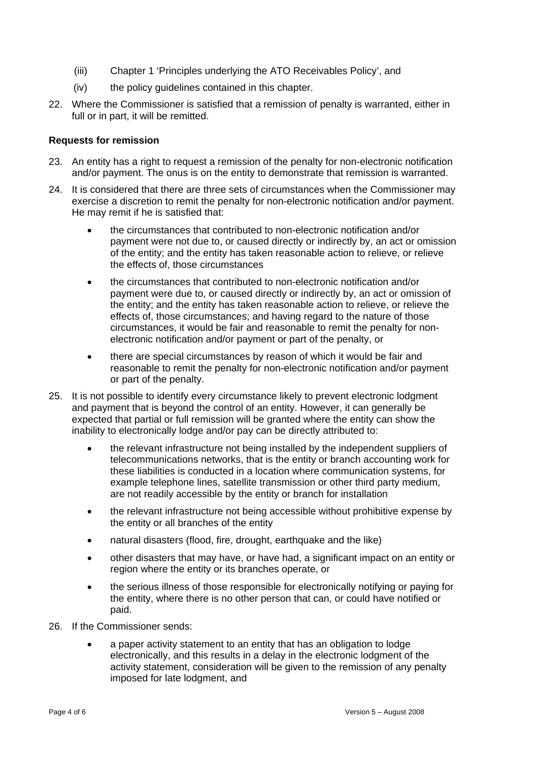- (iii) Chapter 1 'Principles underlying the ATO Receivables Policy', and
- (iv) the policy guidelines contained in this chapter.
- 22. Where the Commissioner is satisfied that a remission of penalty is warranted, either in full or in part, it will be remitted.

#### **Requests for remission**

- 23. An entity has a right to request a remission of the penalty for non-electronic notification and/or payment. The onus is on the entity to demonstrate that remission is warranted.
- 24. It is considered that there are three sets of circumstances when the Commissioner may exercise a discretion to remit the penalty for non-electronic notification and/or payment. He may remit if he is satisfied that:
	- the circumstances that contributed to non-electronic notification and/or payment were not due to, or caused directly or indirectly by, an act or omission of the entity; and the entity has taken reasonable action to relieve, or relieve the effects of, those circumstances
	- the circumstances that contributed to non-electronic notification and/or payment were due to, or caused directly or indirectly by, an act or omission of the entity; and the entity has taken reasonable action to relieve, or relieve the effects of, those circumstances; and having regard to the nature of those circumstances, it would be fair and reasonable to remit the penalty for nonelectronic notification and/or payment or part of the penalty, or
	- there are special circumstances by reason of which it would be fair and reasonable to remit the penalty for non-electronic notification and/or payment or part of the penalty.
- 25. It is not possible to identify every circumstance likely to prevent electronic lodgment and payment that is beyond the control of an entity. However, it can generally be expected that partial or full remission will be granted where the entity can show the inability to electronically lodge and/or pay can be directly attributed to:
	- the relevant infrastructure not being installed by the independent suppliers of telecommunications networks, that is the entity or branch accounting work for these liabilities is conducted in a location where communication systems, for example telephone lines, satellite transmission or other third party medium, are not readily accessible by the entity or branch for installation
	- the relevant infrastructure not being accessible without prohibitive expense by the entity or all branches of the entity
	- natural disasters (flood, fire, drought, earthquake and the like)
	- other disasters that may have, or have had, a significant impact on an entity or region where the entity or its branches operate, or
	- the serious illness of those responsible for electronically notifying or paying for the entity, where there is no other person that can, or could have notified or paid.
- 26. If the Commissioner sends:
	- a paper activity statement to an entity that has an obligation to lodge electronically, and this results in a delay in the electronic lodgment of the activity statement, consideration will be given to the remission of any penalty imposed for late lodgment, and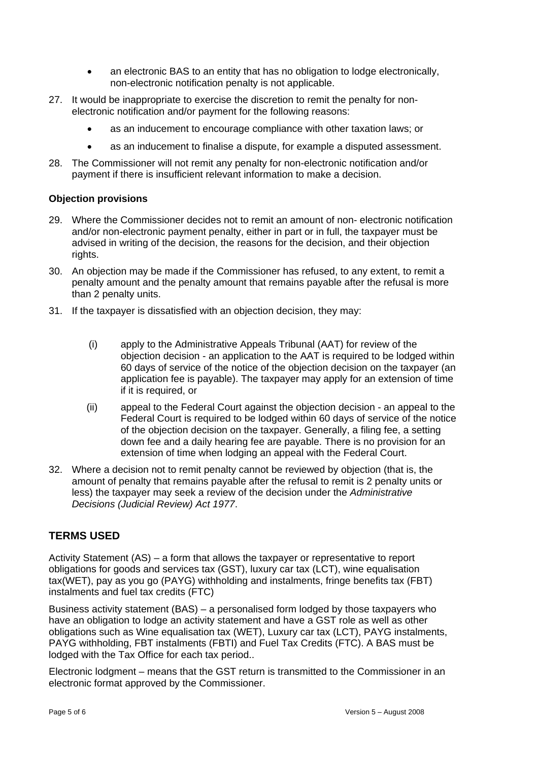- an electronic BAS to an entity that has no obligation to lodge electronically, non-electronic notification penalty is not applicable.
- 27. It would be inappropriate to exercise the discretion to remit the penalty for nonelectronic notification and/or payment for the following reasons:
	- as an inducement to encourage compliance with other taxation laws; or
	- as an inducement to finalise a dispute, for example a disputed assessment.
- 28. The Commissioner will not remit any penalty for non-electronic notification and/or payment if there is insufficient relevant information to make a decision.

## **Objection provisions**

- 29. Where the Commissioner decides not to remit an amount of non- electronic notification and/or non-electronic payment penalty, either in part or in full, the taxpayer must be advised in writing of the decision, the reasons for the decision, and their objection rights.
- 30. An objection may be made if the Commissioner has refused, to any extent, to remit a penalty amount and the penalty amount that remains payable after the refusal is more than 2 penalty units.
- 31. If the taxpayer is dissatisfied with an objection decision, they may:
	- (i) apply to the Administrative Appeals Tribunal (AAT) for review of the objection decision - an application to the AAT is required to be lodged within 60 days of service of the notice of the objection decision on the taxpayer (an application fee is payable). The taxpayer may apply for an extension of time if it is required, or
	- (ii) appeal to the Federal Court against the objection decision an appeal to the Federal Court is required to be lodged within 60 days of service of the notice of the objection decision on the taxpayer. Generally, a filing fee, a setting down fee and a daily hearing fee are payable. There is no provision for an extension of time when lodging an appeal with the Federal Court.
- 32. Where a decision not to remit penalty cannot be reviewed by objection (that is, the amount of penalty that remains payable after the refusal to remit is 2 penalty units or less) the taxpayer may seek a review of the decision under the *Administrative Decisions (Judicial Review) Act 1977*.

# **TERMS USED**

Activity Statement (AS) – a form that allows the taxpayer or representative to report obligations for goods and services tax (GST), luxury car tax (LCT), wine equalisation tax(WET), pay as you go (PAYG) withholding and instalments, fringe benefits tax (FBT) instalments and fuel tax credits (FTC)

Business activity statement (BAS) – a personalised form lodged by those taxpayers who have an obligation to lodge an activity statement and have a GST role as well as other obligations such as Wine equalisation tax (WET), Luxury car tax (LCT), PAYG instalments, PAYG withholding, FBT instalments (FBTI) and Fuel Tax Credits (FTC). A BAS must be lodged with the Tax Office for each tax period..

Electronic lodgment – means that the GST return is transmitted to the Commissioner in an electronic format approved by the Commissioner.